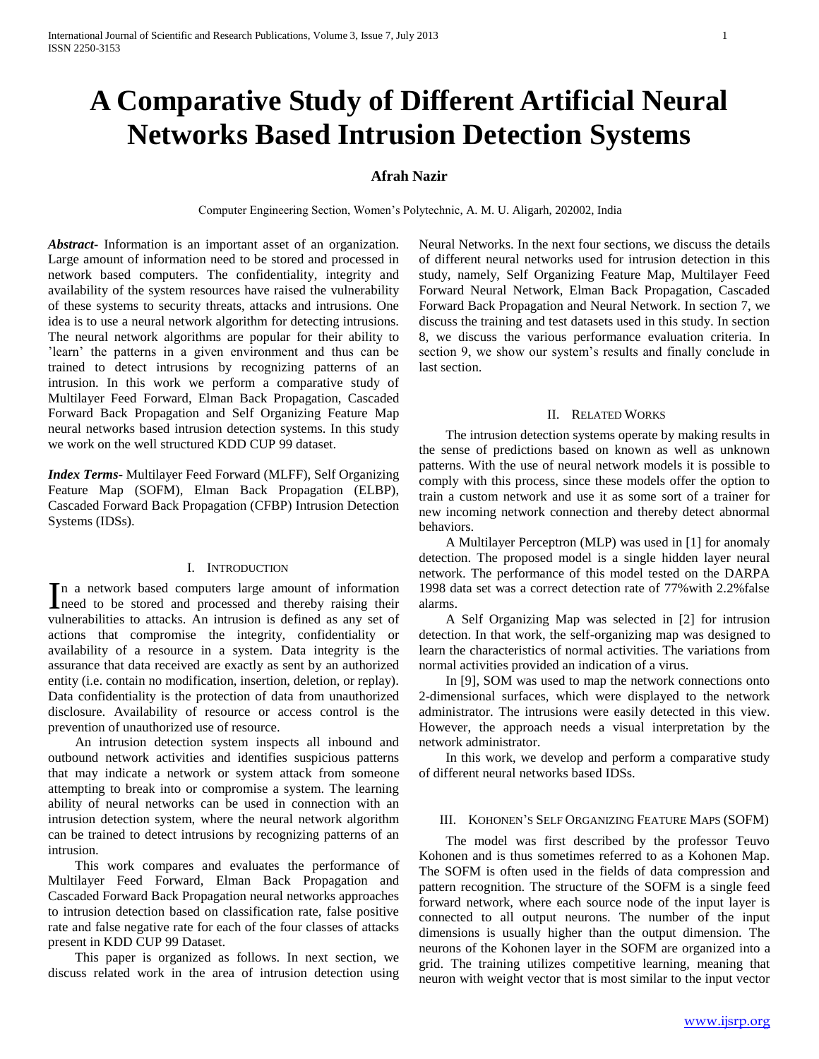# **A Comparative Study of Different Artificial Neural Networks Based Intrusion Detection Systems**

## **Afrah Nazir**

Computer Engineering Section, Women's Polytechnic, A. M. U. Aligarh, 202002, India

*Abstract***-** Information is an important asset of an organization. Large amount of information need to be stored and processed in network based computers. The confidentiality, integrity and availability of the system resources have raised the vulnerability of these systems to security threats, attacks and intrusions. One idea is to use a neural network algorithm for detecting intrusions. The neural network algorithms are popular for their ability to 'learn' the patterns in a given environment and thus can be trained to detect intrusions by recognizing patterns of an intrusion. In this work we perform a comparative study of Multilayer Feed Forward, Elman Back Propagation, Cascaded Forward Back Propagation and Self Organizing Feature Map neural networks based intrusion detection systems. In this study we work on the well structured KDD CUP 99 dataset.

*Index Terms*- Multilayer Feed Forward (MLFF), Self Organizing Feature Map (SOFM), Elman Back Propagation (ELBP), Cascaded Forward Back Propagation (CFBP) Intrusion Detection Systems (IDSs).

### I. INTRODUCTION

n a network based computers large amount of information In a network based computers large amount of information<br>need to be stored and processed and thereby raising their vulnerabilities to attacks. An intrusion is defined as any set of actions that compromise the integrity, confidentiality or availability of a resource in a system. Data integrity is the assurance that data received are exactly as sent by an authorized entity (i.e. contain no modification, insertion, deletion, or replay). Data confidentiality is the protection of data from unauthorized disclosure. Availability of resource or access control is the prevention of unauthorized use of resource.

 An intrusion detection system inspects all inbound and outbound network activities and identifies suspicious patterns that may indicate a network or system attack from someone attempting to break into or compromise a system. The learning ability of neural networks can be used in connection with an intrusion detection system, where the neural network algorithm can be trained to detect intrusions by recognizing patterns of an intrusion.

 This work compares and evaluates the performance of Multilayer Feed Forward, Elman Back Propagation and Cascaded Forward Back Propagation neural networks approaches to intrusion detection based on classification rate, false positive rate and false negative rate for each of the four classes of attacks present in KDD CUP 99 Dataset.

 This paper is organized as follows. In next section, we discuss related work in the area of intrusion detection using Neural Networks. In the next four sections, we discuss the details of different neural networks used for intrusion detection in this study, namely, Self Organizing Feature Map, Multilayer Feed Forward Neural Network, Elman Back Propagation, Cascaded Forward Back Propagation and Neural Network. In section 7, we discuss the training and test datasets used in this study. In section 8, we discuss the various performance evaluation criteria. In section 9, we show our system's results and finally conclude in last section.

## II. RELATED WORKS

 The intrusion detection systems operate by making results in the sense of predictions based on known as well as unknown patterns. With the use of neural network models it is possible to comply with this process, since these models offer the option to train a custom network and use it as some sort of a trainer for new incoming network connection and thereby detect abnormal behaviors.

 A Multilayer Perceptron (MLP) was used in [1] for anomaly detection. The proposed model is a single hidden layer neural network. The performance of this model tested on the DARPA 1998 data set was a correct detection rate of 77%with 2.2%false alarms.

 A Self Organizing Map was selected in [2] for intrusion detection. In that work, the self-organizing map was designed to learn the characteristics of normal activities. The variations from normal activities provided an indication of a virus.

 In [9], SOM was used to map the network connections onto 2-dimensional surfaces, which were displayed to the network administrator. The intrusions were easily detected in this view. However, the approach needs a visual interpretation by the network administrator.

 In this work, we develop and perform a comparative study of different neural networks based IDSs.

## III. KOHONEN'S SELF ORGANIZING FEATURE MAPS (SOFM)

 The model was first described by the professor Teuvo Kohonen and is thus sometimes referred to as a Kohonen Map. The SOFM is often used in the fields of data compression and pattern recognition. The structure of the SOFM is a single feed forward network, where each source node of the input layer is connected to all output neurons. The number of the input dimensions is usually higher than the output dimension. The neurons of the Kohonen layer in the SOFM are organized into a grid. The training utilizes competitive learning, meaning that neuron with weight vector that is most similar to the input vector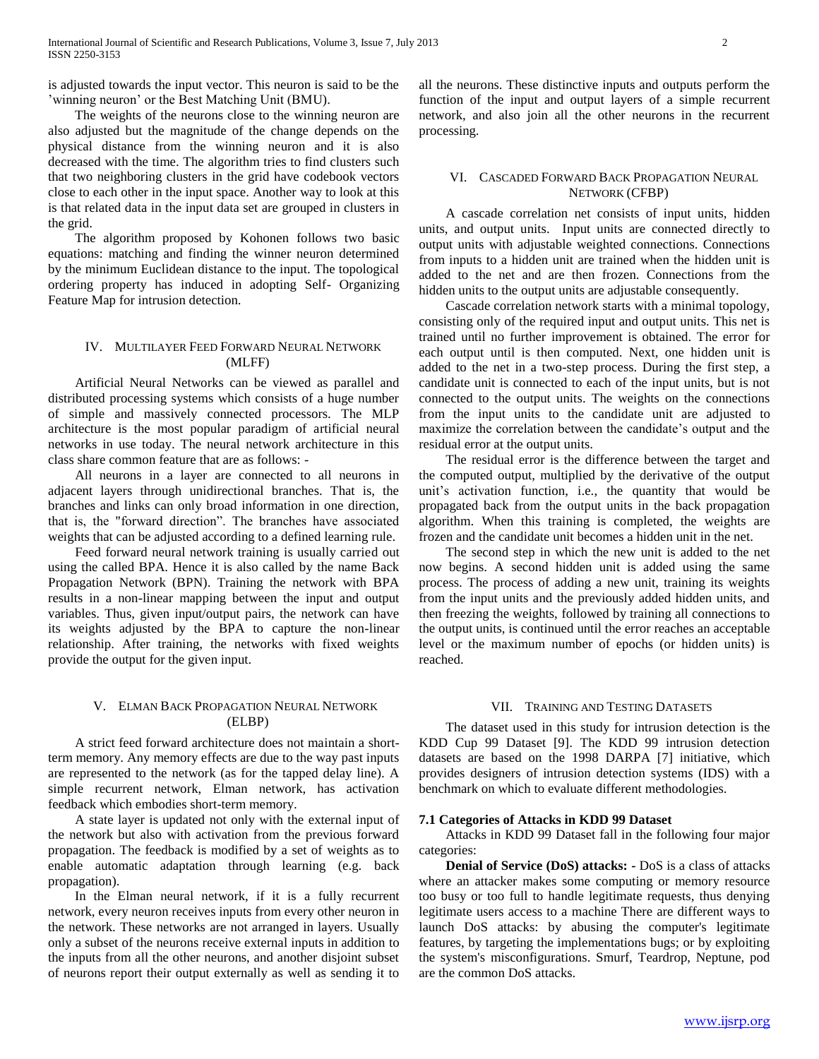is adjusted towards the input vector. This neuron is said to be the 'winning neuron' or the Best Matching Unit (BMU).

 The weights of the neurons close to the winning neuron are also adjusted but the magnitude of the change depends on the physical distance from the winning neuron and it is also decreased with the time. The algorithm tries to find clusters such that two neighboring clusters in the grid have codebook vectors close to each other in the input space. Another way to look at this is that related data in the input data set are grouped in clusters in the grid.

 The algorithm proposed by Kohonen follows two basic equations: matching and finding the winner neuron determined by the minimum Euclidean distance to the input. The topological ordering property has induced in adopting Self- Organizing Feature Map for intrusion detection.

# IV. MULTILAYER FEED FORWARD NEURAL NETWORK (MLFF)

 Artificial Neural Networks can be viewed as parallel and distributed processing systems which consists of a huge number of simple and massively connected processors. The MLP architecture is the most popular paradigm of artificial neural networks in use today. The neural network architecture in this class share common feature that are as follows: -

 All neurons in a layer are connected to all neurons in adjacent layers through unidirectional branches. That is, the branches and links can only broad information in one direction, that is, the "forward direction". The branches have associated weights that can be adjusted according to a defined learning rule.

 Feed forward neural network training is usually carried out using the called BPA. Hence it is also called by the name Back Propagation Network (BPN). Training the network with BPA results in a non-linear mapping between the input and output variables. Thus, given input/output pairs, the network can have its weights adjusted by the BPA to capture the non-linear relationship. After training, the networks with fixed weights provide the output for the given input.

## V. ELMAN BACK PROPAGATION NEURAL NETWORK (ELBP)

 A strict feed forward architecture does not maintain a shortterm memory. Any memory effects are due to the way past inputs are represented to the network (as for the tapped delay line). A simple recurrent network, Elman network, has activation feedback which embodies short-term memory.

 A state layer is updated not only with the external input of the network but also with activation from the previous forward propagation. The feedback is modified by a set of weights as to enable automatic adaptation through learning (e.g. back propagation).

 In the Elman neural network, if it is a fully recurrent network, every neuron receives inputs from every other neuron in the network. These networks are not arranged in layers. Usually only a subset of the neurons receive external inputs in addition to the inputs from all the other neurons, and another disjoint subset of neurons report their output externally as well as sending it to

all the neurons. These distinctive inputs and outputs perform the function of the input and output layers of a simple recurrent network, and also join all the other neurons in the recurrent processing.

## VI. CASCADED FORWARD BACK PROPAGATION NEURAL NETWORK (CFBP)

 A cascade correlation net consists of input units, hidden units, and output units. Input units are connected directly to output units with adjustable weighted connections. Connections from inputs to a hidden unit are trained when the hidden unit is added to the net and are then frozen. Connections from the hidden units to the output units are adjustable consequently.

 Cascade correlation network starts with a minimal topology, consisting only of the required input and output units. This net is trained until no further improvement is obtained. The error for each output until is then computed. Next, one hidden unit is added to the net in a two-step process. During the first step, a candidate unit is connected to each of the input units, but is not connected to the output units. The weights on the connections from the input units to the candidate unit are adjusted to maximize the correlation between the candidate's output and the residual error at the output units.

 The residual error is the difference between the target and the computed output, multiplied by the derivative of the output unit's activation function, i.e., the quantity that would be propagated back from the output units in the back propagation algorithm. When this training is completed, the weights are frozen and the candidate unit becomes a hidden unit in the net.

 The second step in which the new unit is added to the net now begins. A second hidden unit is added using the same process. The process of adding a new unit, training its weights from the input units and the previously added hidden units, and then freezing the weights, followed by training all connections to the output units, is continued until the error reaches an acceptable level or the maximum number of epochs (or hidden units) is reached.

#### VII. TRAINING AND TESTING DATASETS

 The dataset used in this study for intrusion detection is the KDD Cup 99 Dataset [9]. The KDD 99 intrusion detection datasets are based on the 1998 DARPA [7] initiative, which provides designers of intrusion detection systems (IDS) with a benchmark on which to evaluate different methodologies.

#### **7.1 Categories of Attacks in KDD 99 Dataset**

 Attacks in KDD 99 Dataset fall in the following four major categories:

 **Denial of Service (DoS) attacks: -** DoS is a class of attacks where an attacker makes some computing or memory resource too busy or too full to handle legitimate requests, thus denying legitimate users access to a machine There are different ways to launch DoS attacks: by abusing the computer's legitimate features, by targeting the implementations bugs; or by exploiting the system's misconfigurations. Smurf, Teardrop, Neptune, pod are the common DoS attacks.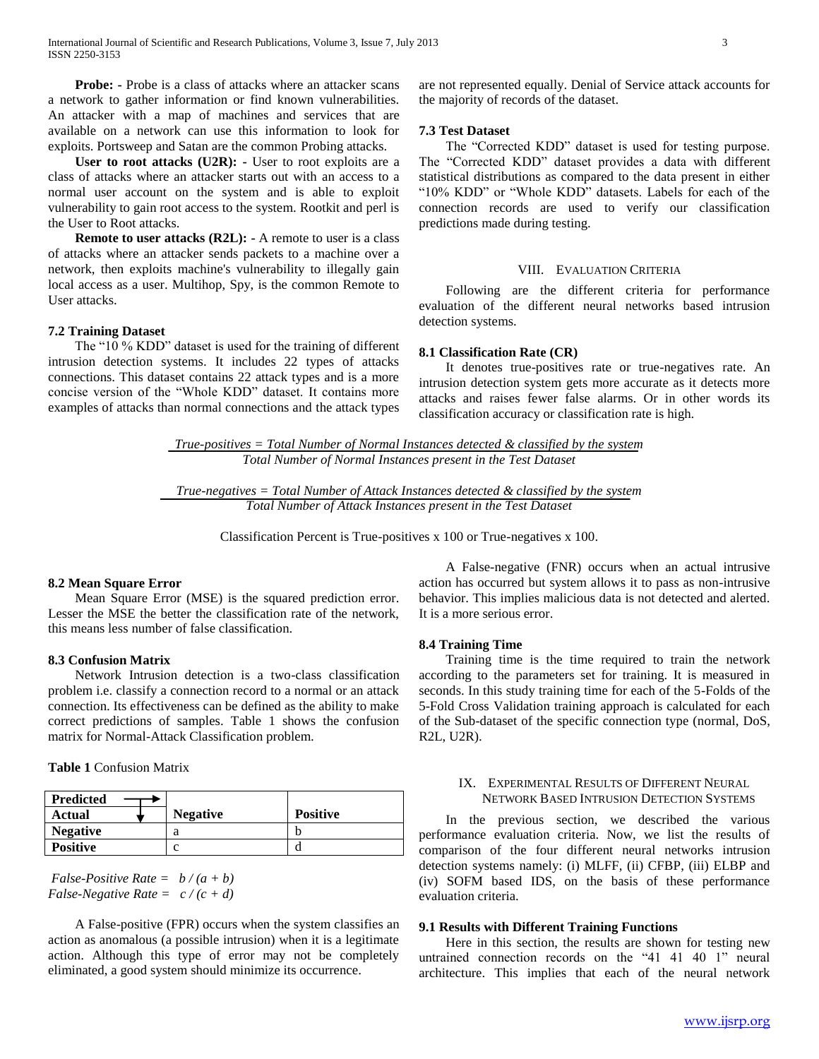**Probe:** - Probe is a class of attacks where an attacker scans a network to gather information or find known vulnerabilities. An attacker with a map of machines and services that are available on a network can use this information to look for exploits. Portsweep and Satan are the common Probing attacks.

 **User to root attacks (U2R): -** User to root exploits are a class of attacks where an attacker starts out with an access to a normal user account on the system and is able to exploit vulnerability to gain root access to the system. Rootkit and perl is the User to Root attacks.

 **Remote to user attacks (R2L): -** A remote to user is a class of attacks where an attacker sends packets to a machine over a network, then exploits machine's vulnerability to illegally gain local access as a user. Multihop, Spy, is the common Remote to User attacks.

#### **7.2 Training Dataset**

 The "10 % KDD" dataset is used for the training of different intrusion detection systems. It includes 22 types of attacks connections. This dataset contains 22 attack types and is a more concise version of the "Whole KDD" dataset. It contains more examples of attacks than normal connections and the attack types are not represented equally. Denial of Service attack accounts for the majority of records of the dataset.

## **7.3 Test Dataset**

 The "Corrected KDD" dataset is used for testing purpose. The "Corrected KDD" dataset provides a data with different statistical distributions as compared to the data present in either "10% KDD" or "Whole KDD" datasets. Labels for each of the connection records are used to verify our classification predictions made during testing.

#### VIII. EVALUATION CRITERIA

 Following are the different criteria for performance evaluation of the different neural networks based intrusion detection systems.

#### **8.1 Classification Rate (CR)**

 It denotes true-positives rate or true-negatives rate. An intrusion detection system gets more accurate as it detects more attacks and raises fewer false alarms. Or in other words its classification accuracy or classification rate is high.

*True-positives = Total Number of Normal Instances detected & classified by the system Total Number of Normal Instances present in the Test Dataset*

*True-negatives = Total Number of Attack Instances detected & classified by the system Total Number of Attack Instances present in the Test Dataset*

Classification Percent is True-positives x 100 or True-negatives x 100.

#### **8.2 Mean Square Error**

 Mean Square Error (MSE) is the squared prediction error. Lesser the MSE the better the classification rate of the network, this means less number of false classification.

#### **8.3 Confusion Matrix**

 Network Intrusion detection is a two-class classification problem i.e. classify a connection record to a normal or an attack connection. Its effectiveness can be defined as the ability to make correct predictions of samples. Table 1 shows the confusion matrix for Normal-Attack Classification problem.

**Table 1** Confusion Matrix

| <b>Predicted</b> |                 |                 |
|------------------|-----------------|-----------------|
| Actual           | <b>Negative</b> | <b>Positive</b> |
| <b>Negative</b>  |                 |                 |
| <b>Positive</b>  |                 |                 |

*False-Positive Rate = b / (a + b) False-Negative Rate = c / (c + d)*

 A False-positive (FPR) occurs when the system classifies an action as anomalous (a possible intrusion) when it is a legitimate action. Although this type of error may not be completely eliminated, a good system should minimize its occurrence.

 A False-negative (FNR) occurs when an actual intrusive action has occurred but system allows it to pass as non-intrusive behavior. This implies malicious data is not detected and alerted. It is a more serious error.

#### **8.4 Training Time**

 Training time is the time required to train the network according to the parameters set for training. It is measured in seconds. In this study training time for each of the 5-Folds of the 5-Fold Cross Validation training approach is calculated for each of the Sub-dataset of the specific connection type (normal, DoS, R2L, U2R).

#### IX. EXPERIMENTAL RESULTS OF DIFFERENT NEURAL NETWORK BASED INTRUSION DETECTION SYSTEMS

 In the previous section, we described the various performance evaluation criteria. Now, we list the results of comparison of the four different neural networks intrusion detection systems namely: (i) MLFF, (ii) CFBP, (iii) ELBP and (iv) SOFM based IDS, on the basis of these performance evaluation criteria.

#### **9.1 Results with Different Training Functions**

 Here in this section, the results are shown for testing new untrained connection records on the "41 41 40 1" neural architecture. This implies that each of the neural network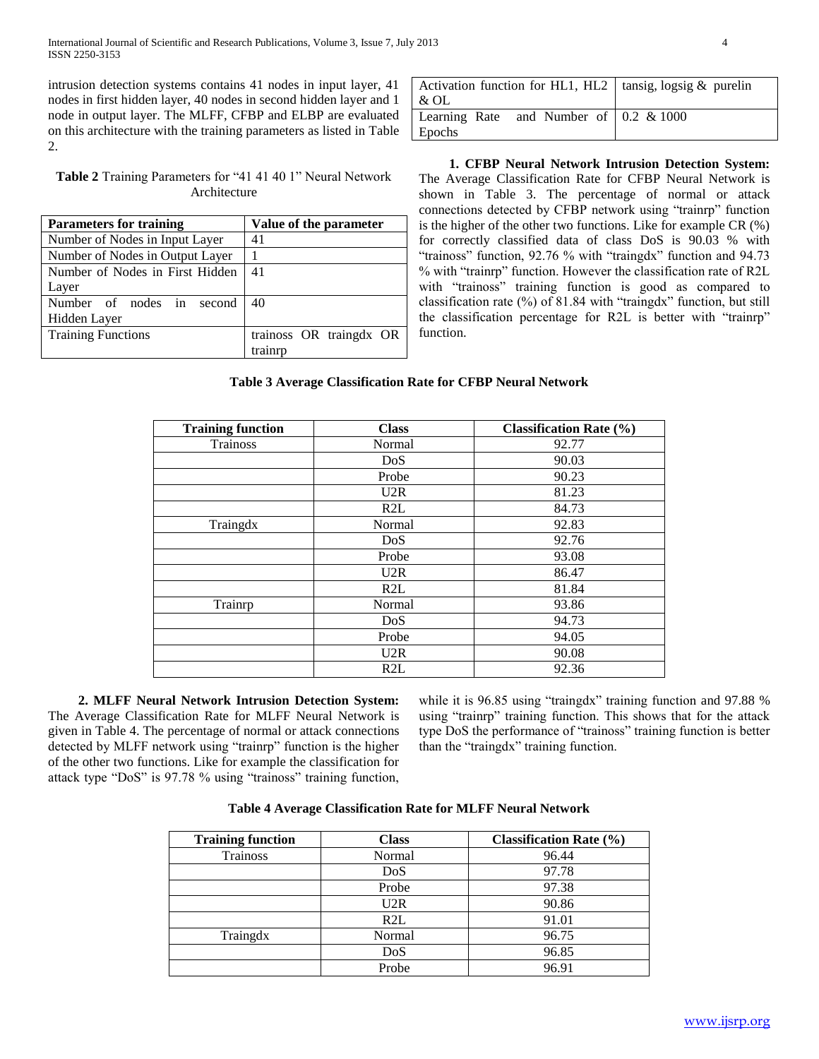intrusion detection systems contains 41 nodes in input layer, 41 nodes in first hidden layer, 40 nodes in second hidden layer and 1 node in output layer. The MLFF, CFBP and ELBP are evaluated on this architecture with the training parameters as listed in Table 2.

| <b>Table 2</b> Training Parameters for "41 41 40 1" Neural Network |  |
|--------------------------------------------------------------------|--|
| Architecture                                                       |  |

| <b>Parameters for training</b>  | Value of the parameter  |  |
|---------------------------------|-------------------------|--|
| Number of Nodes in Input Layer  | 41                      |  |
| Number of Nodes in Output Layer |                         |  |
| Number of Nodes in First Hidden | 41                      |  |
| Layer                           |                         |  |
| Number of nodes in second       | 40                      |  |
| Hidden Layer                    |                         |  |
| <b>Training Functions</b>       | trainoss OR traingdx OR |  |
|                                 | trainrr                 |  |

| Activation function for HL1, HL2   tansig, $\log_{10} \&$ purelin |  |
|-------------------------------------------------------------------|--|
| & OL                                                              |  |
| Learning Rate and Number of $\vert 0.2 \& 1000 \rangle$           |  |
| Epochs                                                            |  |

 **1. CFBP Neural Network Intrusion Detection System:** The Average Classification Rate for CFBP Neural Network is shown in Table 3. The percentage of normal or attack connections detected by CFBP network using "trainrp" function is the higher of the other two functions. Like for example CR (%) for correctly classified data of class DoS is 90.03 % with "trainoss" function, 92.76 % with "traingdx" function and 94.73 % with "trainrp" function. However the classification rate of R2L with "trainoss" training function is good as compared to classification rate (%) of 81.84 with "traingdx" function, but still the classification percentage for R2L is better with "trainrp" function.

# **Table 3 Average Classification Rate for CFBP Neural Network**

| <b>Training function</b> | <b>Class</b>     | <b>Classification Rate (%)</b> |
|--------------------------|------------------|--------------------------------|
| <b>Trainoss</b>          | Normal           | 92.77                          |
|                          | DoS              | 90.03                          |
|                          | Probe            | 90.23                          |
|                          | U2R              | 81.23                          |
|                          | R2L              | 84.73                          |
| Traingdx                 | Normal           | 92.83                          |
|                          | DoS              | 92.76                          |
|                          | Probe            | 93.08                          |
|                          | U2R              | 86.47                          |
|                          | R2L              | 81.84                          |
| Trainrp                  | Normal           | 93.86                          |
|                          | DoS              | 94.73                          |
|                          | Probe            | 94.05                          |
|                          | U2R              | 90.08                          |
|                          | R <sub>2</sub> L | 92.36                          |

 **2. MLFF Neural Network Intrusion Detection System:** The Average Classification Rate for MLFF Neural Network is given in Table 4. The percentage of normal or attack connections detected by MLFF network using "trainrp" function is the higher of the other two functions. Like for example the classification for attack type "DoS" is 97.78 % using "trainoss" training function,

while it is 96.85 using "traingdx" training function and 97.88 % using "trainrp" training function. This shows that for the attack type DoS the performance of "trainoss" training function is better than the "traingdx" training function.

**Table 4 Average Classification Rate for MLFF Neural Network**

| <b>Training function</b> | <b>Class</b> | <b>Classification Rate (%)</b> |
|--------------------------|--------------|--------------------------------|
| Trainoss                 | Normal       | 96.44                          |
|                          | DoS          | 97.78                          |
|                          | Probe        | 97.38                          |
|                          | U2R          | 90.86                          |
|                          | R2L          | 91.01                          |
| Traingdx                 | Normal       | 96.75                          |
|                          | DoS          | 96.85                          |
|                          | Probe        | 96.91                          |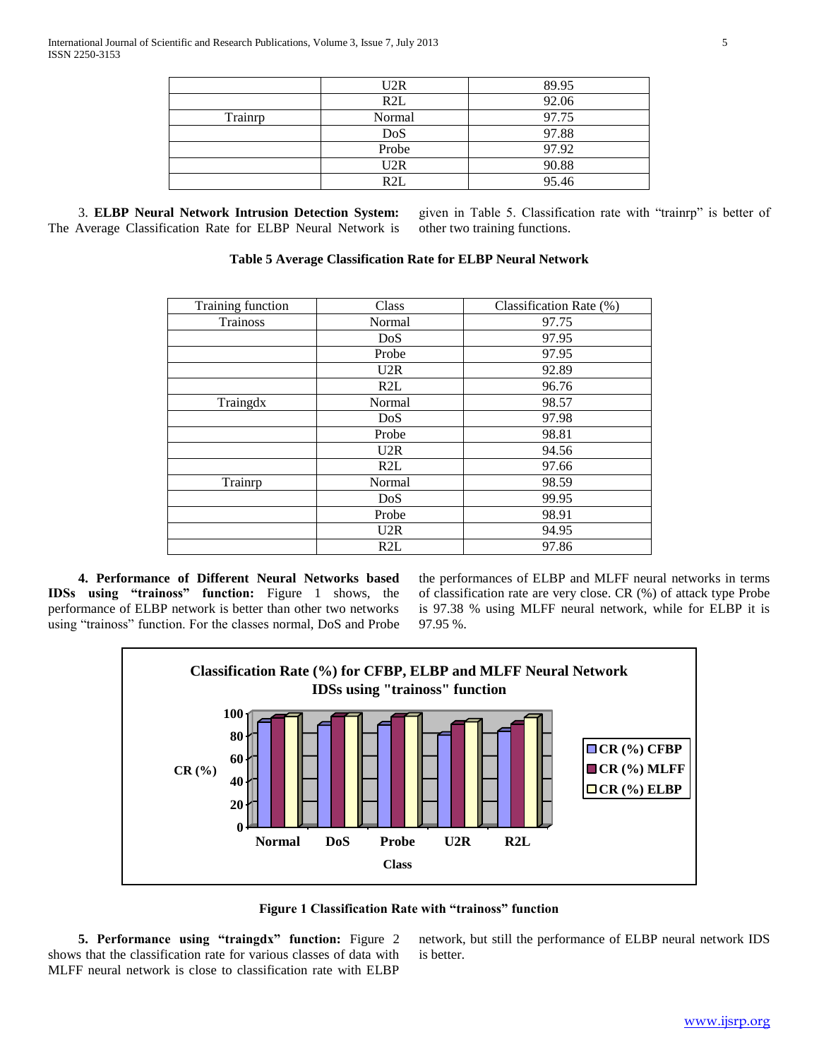|         | U2R    | 89.95 |
|---------|--------|-------|
|         | R2L    | 92.06 |
| Trainrp | Normal | 97.75 |
|         | DoS    | 97.88 |
|         | Probe  | 97.92 |
|         | U2R    | 90.88 |
|         | R2L    | 95.46 |

3. **ELBP Neural Network Intrusion Detection System:**  The Average Classification Rate for ELBP Neural Network is

given in Table 5. Classification rate with "trainrp" is better of other two training functions.

| <b>Table 5 Average Classification Rate for ELBP Neural Network</b> |  |  |  |
|--------------------------------------------------------------------|--|--|--|
|--------------------------------------------------------------------|--|--|--|

| Training function | Class  | Classification Rate (%) |
|-------------------|--------|-------------------------|
| <b>Trainoss</b>   | Normal | 97.75                   |
|                   | DoS    | 97.95                   |
|                   | Probe  | 97.95                   |
|                   | U2R    | 92.89                   |
|                   | R2L    | 96.76                   |
| Traingdx          | Normal | 98.57                   |
|                   | DoS    | 97.98                   |
|                   | Probe  | 98.81                   |
|                   | U2R    | 94.56                   |
|                   | R2L    | 97.66                   |
| Trainrp           | Normal | 98.59                   |
|                   | DoS    | 99.95                   |
|                   | Probe  | 98.91                   |
|                   | U2R    | 94.95                   |
|                   | R2L    | 97.86                   |

 **4. Performance of Different Neural Networks based IDSs using "trainoss" function:** Figure 1 shows, the performance of ELBP network is better than other two networks using "trainoss" function. For the classes normal, DoS and Probe the performances of ELBP and MLFF neural networks in terms of classification rate are very close. CR (%) of attack type Probe is 97.38 % using MLFF neural network, while for ELBP it is 97.95 %.



**Figure 1 Classification Rate with "trainoss" function**

 **5. Performance using "traingdx" function:** Figure 2 shows that the classification rate for various classes of data with MLFF neural network is close to classification rate with ELBP

network, but still the performance of ELBP neural network IDS is better.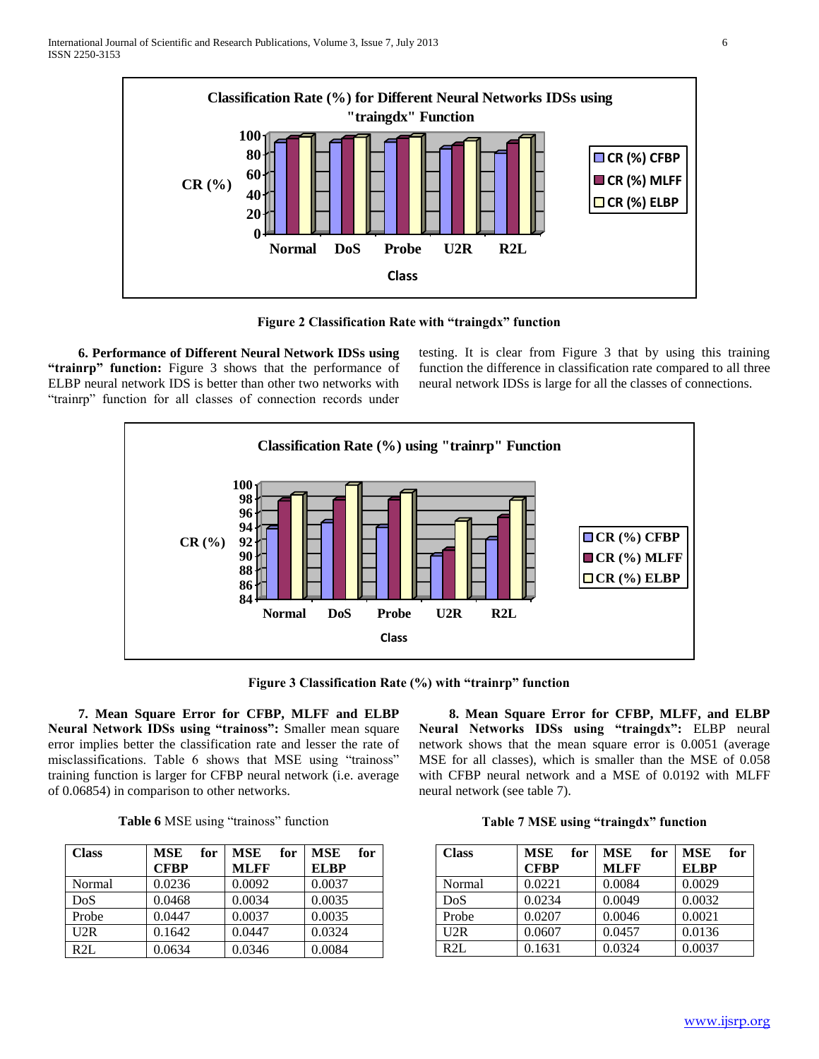

**Figure 2 Classification Rate with "traingdx" function**

 **6. Performance of Different Neural Network IDSs using "trainrp" function:** Figure 3 shows that the performance of ELBP neural network IDS is better than other two networks with "trainrp" function for all classes of connection records under

testing. It is clear from Figure 3 that by using this training function the difference in classification rate compared to all three neural network IDSs is large for all the classes of connections.



**Figure 3 Classification Rate (%) with "trainrp" function**

 **7. Mean Square Error for CFBP, MLFF and ELBP Neural Network IDSs using "trainoss":** Smaller mean square error implies better the classification rate and lesser the rate of misclassifications. Table 6 shows that MSE using "trainoss" training function is larger for CFBP neural network (i.e. average of 0.06854) in comparison to other networks.

| 8. Mean Square Error for CFBP, MLFF, and ELBP                |
|--------------------------------------------------------------|
| Neural Networks IDSs using "traingdx": ELBP neural           |
| network shows that the mean square error is 0.0051 (average  |
| MSE for all classes), which is smaller than the MSE of 0.058 |
| with CFBP neural network and a MSE of 0.0192 with MLFF       |
| neural network (see table 7).                                |

| Table 6 MSE using "trainoss" function |
|---------------------------------------|
|---------------------------------------|

| <b>Class</b> | <b>MSE</b><br>for | for<br><b>MSE</b> | for<br><b>MSE</b> |
|--------------|-------------------|-------------------|-------------------|
|              | <b>CFBP</b>       | <b>MLFF</b>       | <b>ELBP</b>       |
| Normal       | 0.0236            | 0.0092            | 0.0037            |
| DoS          | 0.0468            | 0.0034            | 0.0035            |
| Probe        | 0.0447            | 0.0037            | 0.0035            |
| U2R          | 0.1642            | 0.0447            | 0.0324            |
| R2L          | 0.0634            | 0.0346            | 0.0084            |

| <b>Class</b> | for<br><b>MSE</b> | <b>MSE</b><br>for | for<br><b>MSE</b> |
|--------------|-------------------|-------------------|-------------------|
|              | <b>CFBP</b>       | <b>MLFF</b>       | <b>ELBP</b>       |
| Normal       | 0.0221            | 0.0084            | 0.0029            |
| DoS          | 0.0234            | 0.0049            | 0.0032            |
| Probe        | 0.0207            | 0.0046            | 0.0021            |
| U2R          | 0.0607            | 0.0457            | 0.0136            |
| R2L          | 0.1631            | 0.0324            | 0.0037            |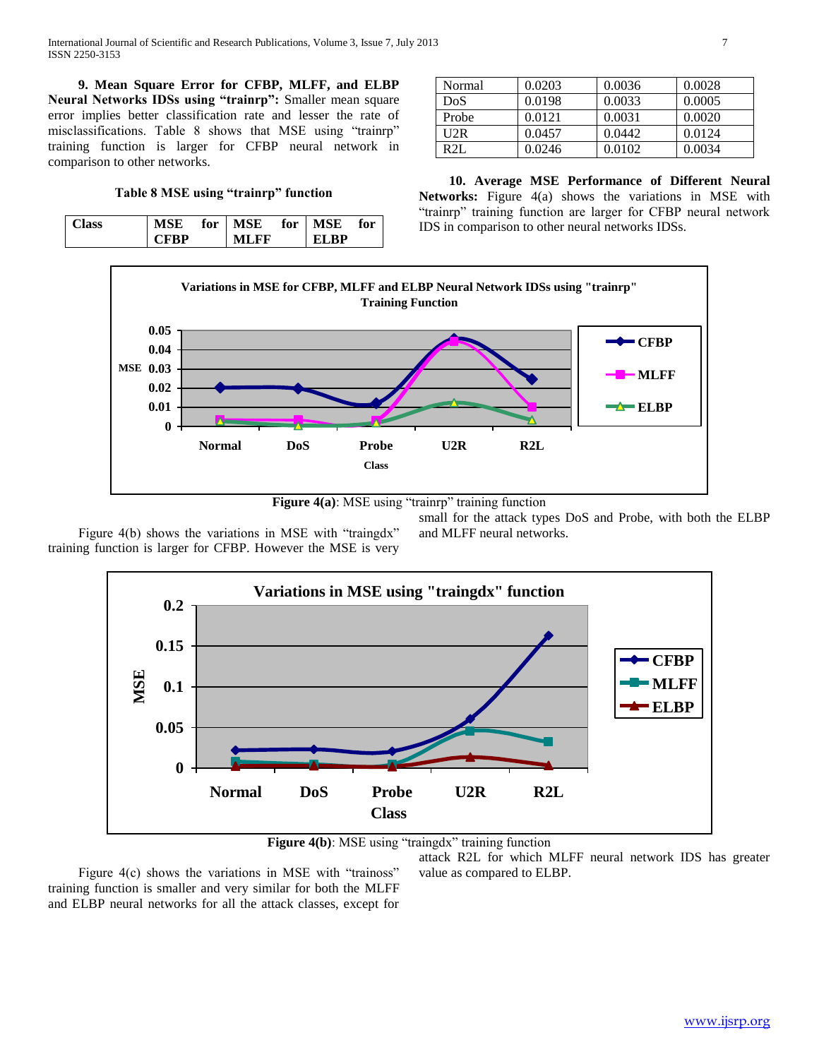**9. Mean Square Error for CFBP, MLFF, and ELBP Neural Networks IDSs using "trainrp":** Smaller mean square error implies better classification rate and lesser the rate of misclassifications. Table 8 shows that MSE using "trainrp" training function is larger for CFBP neural network in comparison to other networks.

**Table 8 MSE using "trainrp" function**

| Class) | MSE  | for   MSE for   MSE |             | for |
|--------|------|---------------------|-------------|-----|
|        | CFRD | ML FF               | <b>FIRP</b> |     |

| Normal  | 0.0203 | 0.0036 | 0.0028 |
|---------|--------|--------|--------|
| DoS     | 0.0198 | 0.0033 | 0.0005 |
| Probe   | 0.0121 | 0.0031 | 0.0020 |
| U2R     | 0.0457 | 0.0442 | 0.0124 |
| $R2I$ . | 0.0246 | 0.0102 | 0.0034 |

 **10. Average MSE Performance of Different Neural Networks:** Figure 4(a) shows the variations in MSE with "trainrp" training function are larger for CFBP neural network IDS in comparison to other neural networks IDSs.



**Figure 4(a)**: MSE using "trainrp" training function

Figure 4(b) shows the variations in MSE with "traingdx" training function is larger for CFBP. However the MSE is very small for the attack types DoS and Probe, with both the ELBP and MLFF neural networks.





Figure 4(c) shows the variations in MSE with "trainoss" training function is smaller and very similar for both the MLFF and ELBP neural networks for all the attack classes, except for

attack R2L for which MLFF neural network IDS has greater value as compared to ELBP.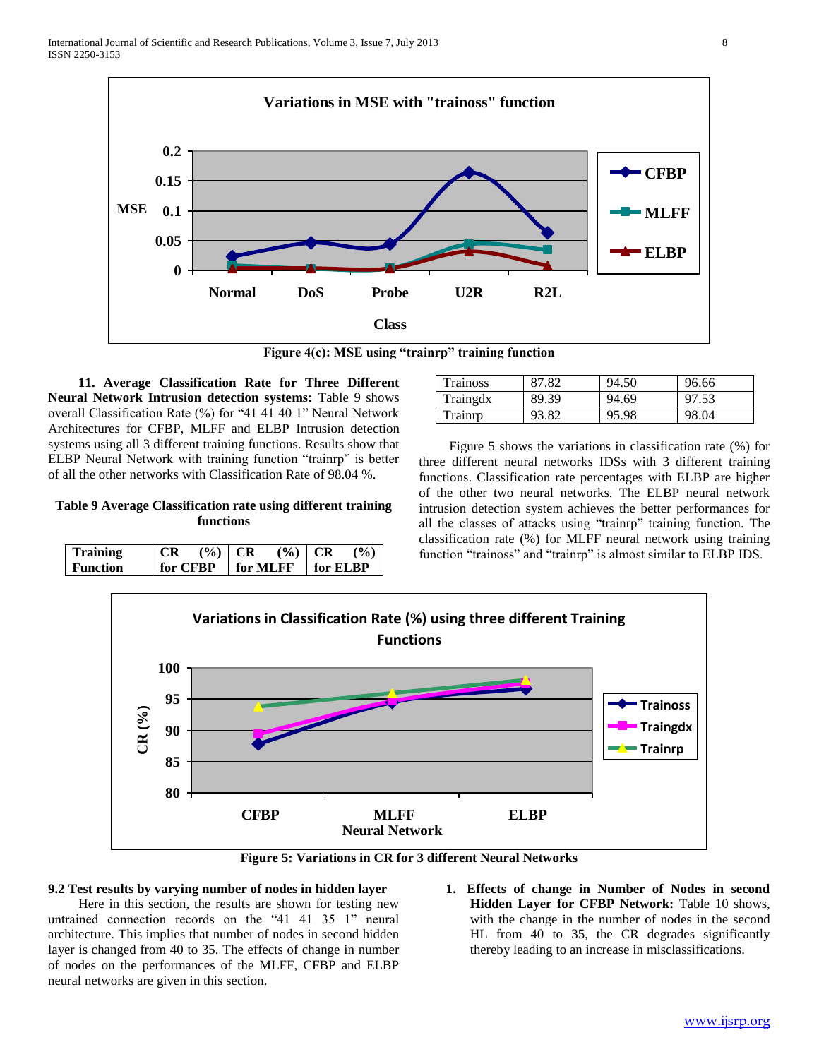

**Figure 4(c): MSE using "trainrp" training function**

 **11. Average Classification Rate for Three Different Neural Network Intrusion detection systems:** Table 9 shows overall Classification Rate (%) for "41 41 40 1" Neural Network Architectures for CFBP, MLFF and ELBP Intrusion detection systems using all 3 different training functions. Results show that ELBP Neural Network with training function "trainrp" is better of all the other networks with Classification Rate of 98.04 %.

# **Table 9 Average Classification rate using different training functions**

| <b>Training</b> | <b>CR</b> | $(9/0)$ CR | $($ %)   CR                                        | $($ %) |
|-----------------|-----------|------------|----------------------------------------------------|--------|
| <b>Function</b> |           |            | for CFBP $\parallel$ for MLFF $\parallel$ for ELBP |        |

| <b>Trainoss</b> |       | 94.50 | 96.66 |
|-----------------|-------|-------|-------|
| Traingdx        | 89.39 | 94.69 | 97.53 |
| Trainrn         | 93.82 | 95.98 | 98.04 |

Figure 5 shows the variations in classification rate (%) for three different neural networks IDSs with 3 different training functions. Classification rate percentages with ELBP are higher of the other two neural networks. The ELBP neural network intrusion detection system achieves the better performances for all the classes of attacks using "trainrp" training function. The classification rate (%) for MLFF neural network using training function "trainoss" and "trainrp" is almost similar to ELBP IDS.



**Figure 5: Variations in CR for 3 different Neural Networks**

## **9.2 Test results by varying number of nodes in hidden layer**

Here in this section, the results are shown for testing new untrained connection records on the "41 41 35 1" neural architecture. This implies that number of nodes in second hidden layer is changed from 40 to 35. The effects of change in number of nodes on the performances of the MLFF, CFBP and ELBP neural networks are given in this section.

**1. Effects of change in Number of Nodes in second Hidden Layer for CFBP Network:** Table 10 shows, with the change in the number of nodes in the second HL from 40 to 35, the CR degrades significantly thereby leading to an increase in misclassifications.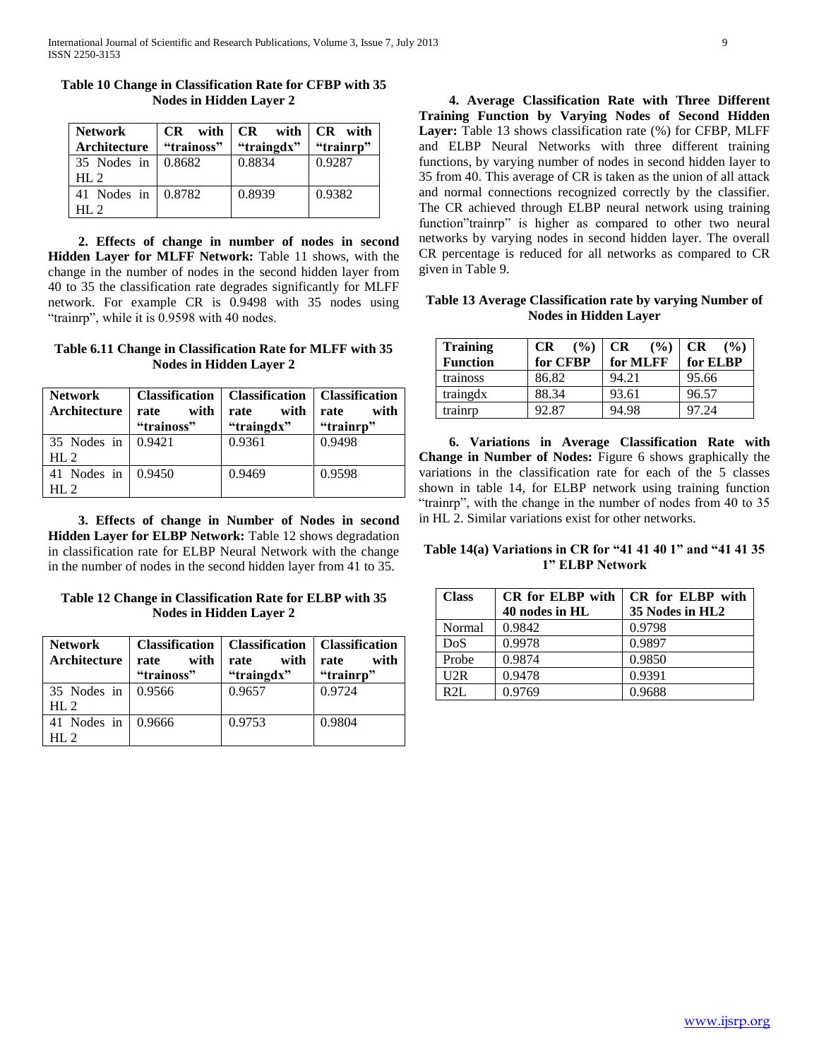| <b>Network</b>       |            | $CR$ with $CR$ with $CR$ with |           |
|----------------------|------------|-------------------------------|-----------|
| Architecture         | "trainoss" | "traingdx"                    | "trainrp" |
| 35 Nodes in          | 0.8682     | 0.8834                        | 0.9287    |
| HI.2                 |            |                               |           |
| 41 Nodes in   0.8782 |            | 0.8939                        | 0.9382    |
| HI.2                 |            |                               |           |

**Table 10 Change in Classification Rate for CFBP with 35 Nodes in Hidden Layer 2**

 **2. Effects of change in number of nodes in second Hidden Layer for MLFF Network:** Table 11 shows, with the change in the number of nodes in the second hidden layer from 40 to 35 the classification rate degrades significantly for MLFF network. For example CR is 0.9498 with 35 nodes using "trainrp", while it is 0.9598 with 40 nodes.

## **Table 6.11 Change in Classification Rate for MLFF with 35 Nodes in Hidden Layer 2**

| <b>Network</b><br>Architecture | <b>Classification</b><br>with<br>rate<br>"trainoss" | <b>Classification</b>  <br>with<br>rate<br>"traingdx" | <b>Classification</b><br>with<br>rate<br>"trainrp" |
|--------------------------------|-----------------------------------------------------|-------------------------------------------------------|----------------------------------------------------|
| 35 Nodes in<br>HI.2            | 0.9421                                              | 0.9361                                                | 0.9498                                             |
| 41 Nodes in<br>HI.2            | 0.9450                                              | 0.9469                                                | 0.9598                                             |

 **3. Effects of change in Number of Nodes in second Hidden Layer for ELBP Network:** Table 12 shows degradation in classification rate for ELBP Neural Network with the change in the number of nodes in the second hidden layer from 41 to 35.

**Table 12 Change in Classification Rate for ELBP with 35 Nodes in Hidden Layer 2**

| <b>Network</b><br>Architecture          | with<br>rate<br>"trainoss" | <b>Classification</b>   <b>Classification</b>  <br>with<br>rate<br>"traingdx" | <b>Classification</b><br>with<br>rate<br>"trainrp" |  |
|-----------------------------------------|----------------------------|-------------------------------------------------------------------------------|----------------------------------------------------|--|
| 35 Nodes in   0.9566<br>HL <sub>2</sub> |                            | 0.9657                                                                        | 0.9724                                             |  |
| 41 Nodes in   0.9666<br>HI.2            |                            | 0.9753                                                                        | 0.9804                                             |  |

 **4. Average Classification Rate with Three Different Training Function by Varying Nodes of Second Hidden Layer:** Table 13 shows classification rate (%) for CFBP, MLFF and ELBP Neural Networks with three different training functions, by varying number of nodes in second hidden layer to 35 from 40. This average of CR is taken as the union of all attack and normal connections recognized correctly by the classifier. The CR achieved through ELBP neural network using training function"trainrp" is higher as compared to other two neural networks by varying nodes in second hidden layer. The overall CR percentage is reduced for all networks as compared to CR given in Table 9.

**Table 13 Average Classification rate by varying Number of Nodes in Hidden Layer**

| <b>Training</b><br><b>Function</b> | $($ %)<br><b>CR</b><br>for CFBP | <b>CR</b><br>$($ %)<br>for MLFF | <b>CR</b><br>$($ %)<br>for ELBP |
|------------------------------------|---------------------------------|---------------------------------|---------------------------------|
| trainoss                           | 86.82                           | 94.21                           | 95.66                           |
| traingdx                           | 88.34                           | 93.61                           | 96.57                           |
| trainrp                            | 92.87                           | 94.98                           | 97.24                           |

 **6. Variations in Average Classification Rate with Change in Number of Nodes:** Figure 6 shows graphically the variations in the classification rate for each of the 5 classes shown in table 14, for ELBP network using training function "trainrp", with the change in the number of nodes from 40 to 35 in HL 2. Similar variations exist for other networks.

**Table 14(a) Variations in CR for "41 41 40 1" and "41 41 35 1" ELBP Network**

| <b>Class</b> | <b>CR</b> for <b>ELBP</b> with | CR for ELBP with |
|--------------|--------------------------------|------------------|
|              | 40 nodes in HL                 | 35 Nodes in HL2  |
| Normal       | 0.9842                         | 0.9798           |
| <b>DoS</b>   | 0.9978                         | 0.9897           |
| Probe        | 0.9874                         | 0.9850           |
| U2R          | 0.9478                         | 0.9391           |
| $R2I$ .      | 0.9769                         | 0.9688           |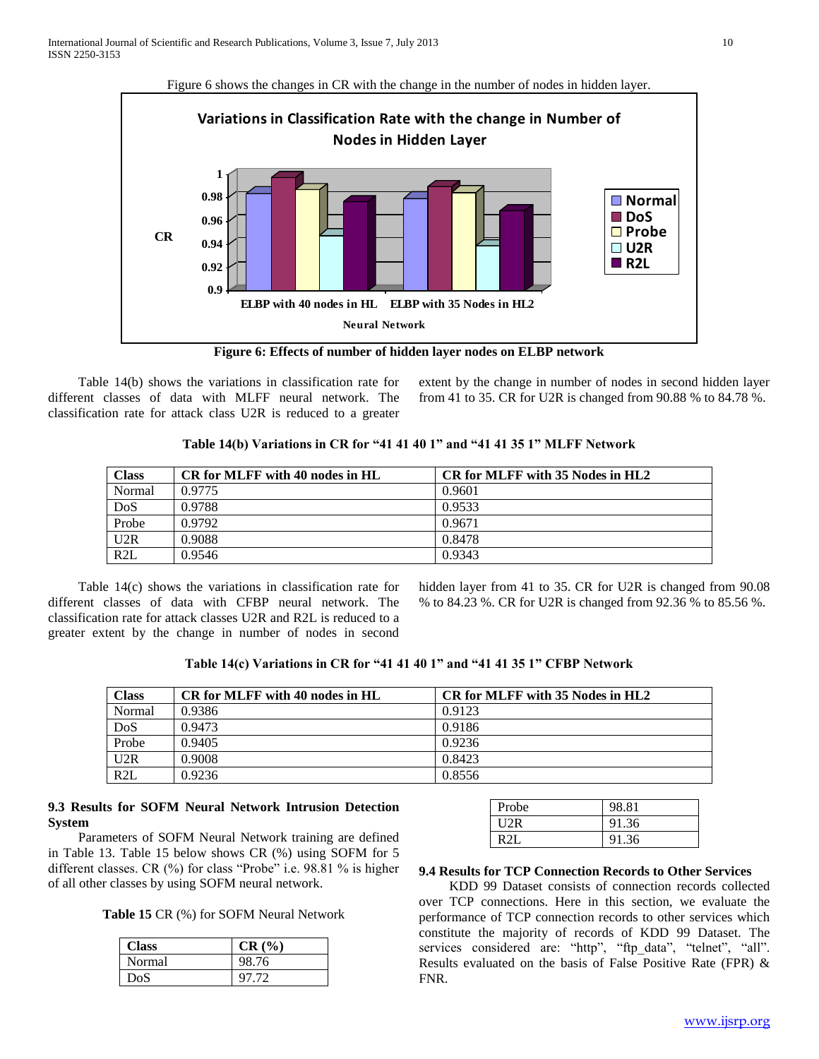

**Figure 6: Effects of number of hidden layer nodes on ELBP network**

Table 14(b) shows the variations in classification rate for different classes of data with MLFF neural network. The classification rate for attack class U2R is reduced to a greater

extent by the change in number of nodes in second hidden layer from 41 to 35. CR for U2R is changed from 90.88 % to 84.78 %.

| Table 14(b) Variations in CR for "41 41 40 1" and "41 41 35 1" MLFF Network |  |  |
|-----------------------------------------------------------------------------|--|--|
|                                                                             |  |  |

| Class  | CR for MLFF with 40 nodes in HL | CR for MLFF with 35 Nodes in HL2 |
|--------|---------------------------------|----------------------------------|
| Normal | 0.9775                          | 0.9601                           |
| DoS    | 0.9788                          | 0.9533                           |
| Probe  | 0.9792                          | 0.9671                           |
| U2R    | 0.9088                          | 0.8478                           |
| R2L    | 0.9546                          | 0.9343                           |

Table 14(c) shows the variations in classification rate for different classes of data with CFBP neural network. The classification rate for attack classes U2R and R2L is reduced to a greater extent by the change in number of nodes in second

hidden layer from 41 to 35. CR for U2R is changed from 90.08 % to 84.23 %. CR for U2R is changed from 92.36 % to 85.56 %.

## **Table 14(c) Variations in CR for "41 41 40 1" and "41 41 35 1" CFBP Network**

| <b>Class</b> | CR for MLFF with 40 nodes in HL | CR for MLFF with 35 Nodes in HL2 |
|--------------|---------------------------------|----------------------------------|
| Normal       | 0.9386                          | 0.9123                           |
| DoS          | 0.9473                          | 0.9186                           |
| Probe        | 0.9405                          | 0.9236                           |
| U2R          | 0.9008                          | 0.8423                           |
| R2L          | 0.9236                          | 0.8556                           |

## **9.3 Results for SOFM Neural Network Intrusion Detection System**

Parameters of SOFM Neural Network training are defined in Table 13. Table 15 below shows CR (%) using SOFM for 5 different classes. CR (%) for class "Probe" i.e. 98.81 % is higher of all other classes by using SOFM neural network.

**Table 15** CR (%) for SOFM Neural Network

| Class  | CR(%) |
|--------|-------|
| Normal | 98.76 |
| DoS    | 97.72 |

| Probe | 98.81 |
|-------|-------|
| HOR   | 91.36 |
| R2I   | 91.36 |

## **9.4 Results for TCP Connection Records to Other Services**

KDD 99 Dataset consists of connection records collected over TCP connections. Here in this section, we evaluate the performance of TCP connection records to other services which constitute the majority of records of KDD 99 Dataset. The services considered are: "http", "ftp\_data", "telnet", "all". Results evaluated on the basis of False Positive Rate (FPR) & FNR.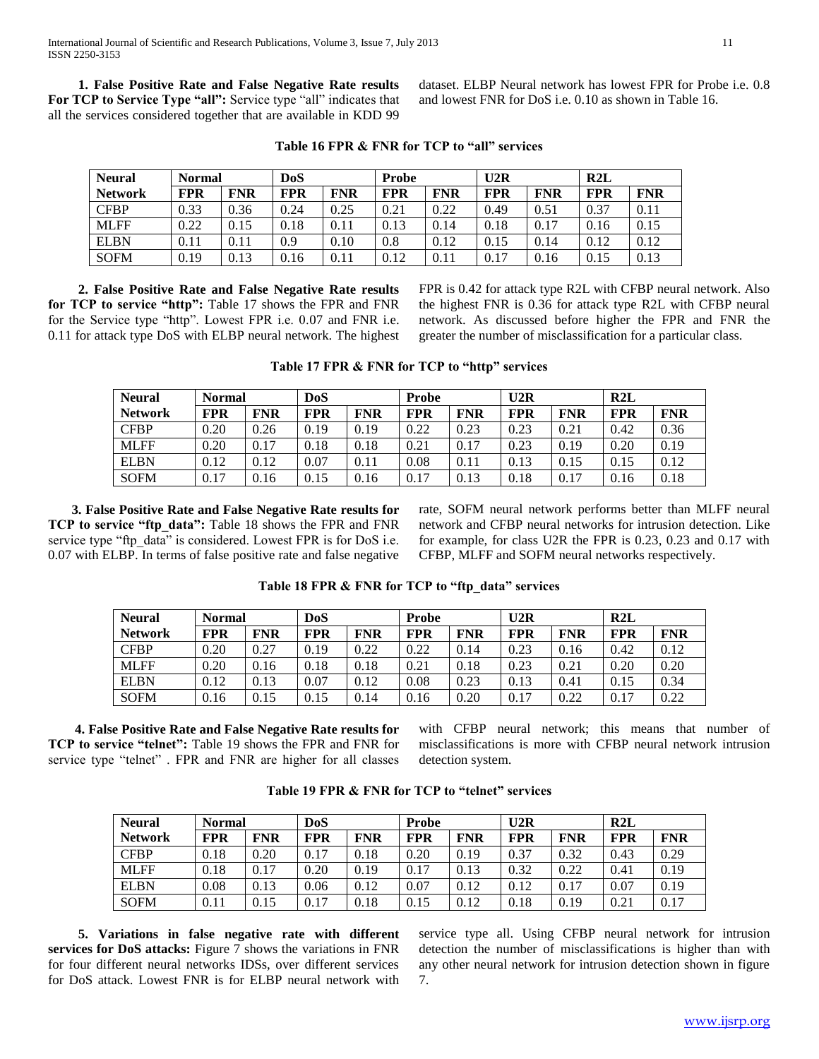**1. False Positive Rate and False Negative Rate results For TCP to Service Type "all":** Service type "all" indicates that all the services considered together that are available in KDD 99

dataset. ELBP Neural network has lowest FPR for Probe i.e. 0.8 and lowest FNR for DoS i.e. 0.10 as shown in Table 16.

| <b>Neural</b>  | DoS<br><b>Normal</b> |            |            | Probe      |            |            | U2R        |            | R2L        |            |
|----------------|----------------------|------------|------------|------------|------------|------------|------------|------------|------------|------------|
| <b>Network</b> | <b>FPR</b>           | <b>FNR</b> | <b>FPR</b> | <b>FNR</b> | <b>FPR</b> | <b>FNR</b> | <b>FPR</b> | <b>FNR</b> | <b>FPR</b> | <b>FNR</b> |
| <b>CFBP</b>    | 0.33                 | 0.36       | 0.24       | 0.25       | 0.21       | 0.22       | 0.49       | 0.51       | 0.37       | 0.11       |
| <b>MLFF</b>    | 0.22                 | 0.15       | 0.18       | 0.11       | 0.13       | 0.14       | 0.18       | 0.17       | 0.16       | 0.15       |
| <b>ELBN</b>    | 0.11                 | 0.11       | 0.9        | 0.10       | 0.8        | 0.12       | 0.15       | 0.14       | 0.12       | 0.12       |
| <b>SOFM</b>    | 0.19                 | 0.13       | 0.16       | 0.11       | 0.12       | 0.11       | 0.17       | 0.16       | 0.15       | 0.13       |

**Table 16 FPR & FNR for TCP to "all" services**

 **2. False Positive Rate and False Negative Rate results for TCP to service "http":** Table 17 shows the FPR and FNR for the Service type "http". Lowest FPR i.e. 0.07 and FNR i.e. 0.11 for attack type DoS with ELBP neural network. The highest FPR is 0.42 for attack type R2L with CFBP neural network. Also the highest FNR is 0.36 for attack type R2L with CFBP neural network. As discussed before higher the FPR and FNR the greater the number of misclassification for a particular class.

| Table 17 FPR & FNR for TCP to "http" services |  |  |  |  |
|-----------------------------------------------|--|--|--|--|
|-----------------------------------------------|--|--|--|--|

| <b>Neural</b>  | <b>Normal</b> |            | DoS        |            | <b>Probe</b> |            | U2R        |            | R2L        |            |
|----------------|---------------|------------|------------|------------|--------------|------------|------------|------------|------------|------------|
| <b>Network</b> | <b>FPR</b>    | <b>FNR</b> | <b>FPR</b> | <b>FNR</b> | <b>FPR</b>   | <b>FNR</b> | <b>FPR</b> | <b>FNR</b> | <b>FPR</b> | <b>FNR</b> |
| <b>CFBP</b>    | 0.20          | 0.26       | 0.19       | 0.19       | 0.22         | 0.23       | 0.23       | 0.21       | 0.42       | 0.36       |
| <b>MLFF</b>    | 0.20          | 0.17       | 0.18       | 0.18       | 0.21         | 0.17       | 0.23       | 0.19       | 0.20       | 0.19       |
| <b>ELBN</b>    | 0.12          | 0.12       | 0.07       | 0.11       | 0.08         | 0.11       | 0.13       | 0.15       | 0.15       | 0.12       |
| <b>SOFM</b>    | 0.17          | 0.16       | 0.15       | 0.16       | 0.17         | 0.13       | 0.18       | 0.17       | 0.16       | 0.18       |

 **3. False Positive Rate and False Negative Rate results for TCP to service "ftp\_data":** Table 18 shows the FPR and FNR service type "ftp\_data" is considered. Lowest FPR is for DoS i.e. 0.07 with ELBP. In terms of false positive rate and false negative rate, SOFM neural network performs better than MLFF neural network and CFBP neural networks for intrusion detection. Like for example, for class U2R the FPR is 0.23, 0.23 and 0.17 with CFBP, MLFF and SOFM neural networks respectively.

| <b>Neural</b>  | <b>Normal</b> |            | DoS        |            | <b>Probe</b> |            | U2R        |            | R2L        |            |
|----------------|---------------|------------|------------|------------|--------------|------------|------------|------------|------------|------------|
| <b>Network</b> | <b>FPR</b>    | <b>FNR</b> | <b>FPR</b> | <b>FNR</b> | <b>FPR</b>   | <b>FNR</b> | <b>FPR</b> | <b>FNR</b> | <b>FPR</b> | <b>FNR</b> |
| <b>CFBP</b>    | 0.20          | 0.27       | 0.19       | 0.22       | 0.22         | 0.14       | 0.23       | 0.16       | 0.42       | 0.12       |
| <b>MLFF</b>    | 0.20          | 0.16       | 0.18       | 0.18       | 0.21         | 0.18       | 0.23       | 0.21       | 0.20       | 0.20       |
| <b>ELBN</b>    | 0.12          | 0.13       | 0.07       | 0.12       | 0.08         | 0.23       | 0.13       | 0.41       | 0.15       | 0.34       |
| <b>SOFM</b>    | 0.16          | 0.15       | 0.15       | 0.14       | 0.16         | 0.20       | 0.17       | 0.22       | 0.17       | 0.22       |

**Table 18 FPR & FNR for TCP to "ftp\_data" services**

 **4. False Positive Rate and False Negative Rate results for TCP to service "telnet":** Table 19 shows the FPR and FNR for service type "telnet" . FPR and FNR are higher for all classes

with CFBP neural network; this means that number of misclassifications is more with CFBP neural network intrusion detection system.

| <b>Neural</b>  | <b>Normal</b> |            | DoS        |            | <b>Probe</b> |            | U2R        |            | R2L        |            |
|----------------|---------------|------------|------------|------------|--------------|------------|------------|------------|------------|------------|
| <b>Network</b> | <b>FPR</b>    | <b>FNR</b> | <b>FPR</b> | <b>FNR</b> | <b>FPR</b>   | <b>FNR</b> | <b>FPR</b> | <b>FNR</b> | <b>FPR</b> | <b>FNR</b> |
| <b>CFBP</b>    | 0.18          | 0.20       | 0.17       | 0.18       | 0.20         | 0.19       | 0.37       | 0.32       | 0.43       | 0.29       |
| <b>MLFF</b>    | 0.18          | 0.17       | 0.20       | 0.19       | 0.17         | 0.13       | 0.32       | 0.22       | 0.41       | 0.19       |
| <b>ELBN</b>    | 0.08          | 0.13       | 0.06       | 0.12       | 0.07         | 0.12       | 0.12       | 0.17       | 0.07       | 0.19       |
| <b>SOFM</b>    | 0.11          | 0.15       | 0.17       | 0.18       | 0.15         | 0.12       | 0.18       | 0.19       | 0.21       | 0.17       |

**Table 19 FPR & FNR for TCP to "telnet" services**

 **5. Variations in false negative rate with different services for DoS attacks:** Figure 7 shows the variations in FNR for four different neural networks IDSs, over different services for DoS attack. Lowest FNR is for ELBP neural network with

service type all. Using CFBP neural network for intrusion detection the number of misclassifications is higher than with any other neural network for intrusion detection shown in figure 7.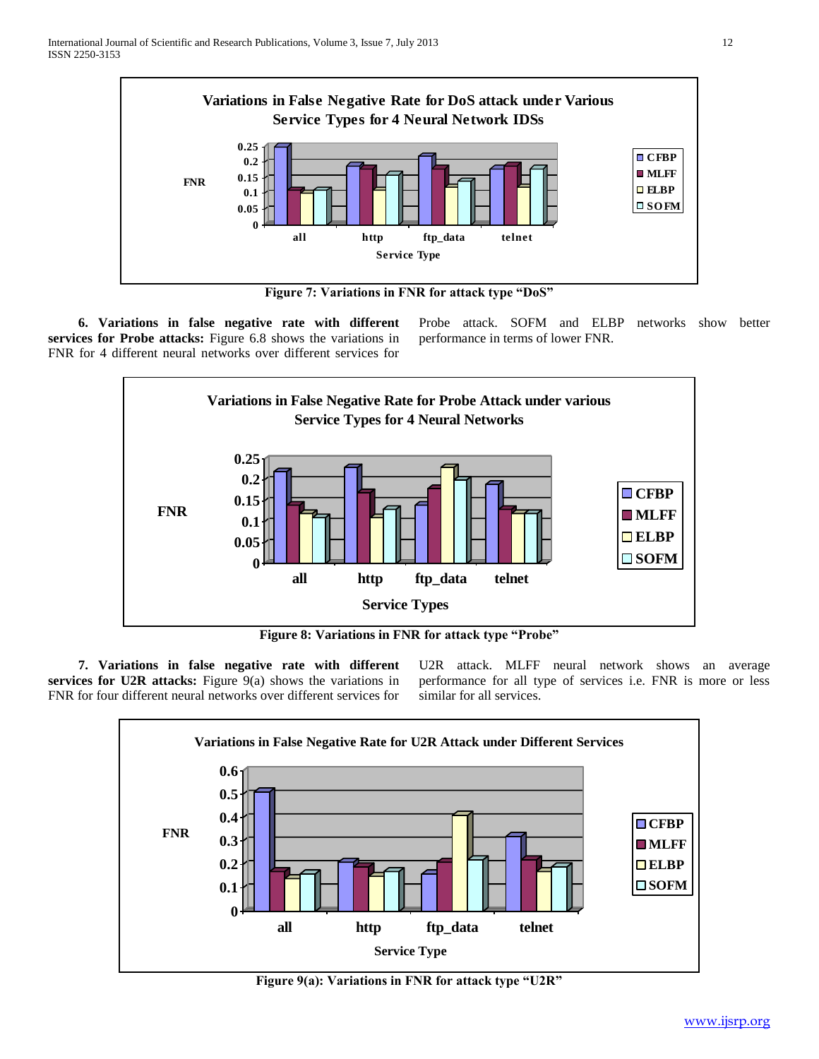

**Figure 7: Variations in FNR for attack type "DoS"**

 **6. Variations in false negative rate with different services for Probe attacks:** Figure 6.8 shows the variations in FNR for 4 different neural networks over different services for

Probe attack. SOFM and ELBP networks show better performance in terms of lower FNR.



**Figure 8: Variations in FNR for attack type "Probe"**

 **7. Variations in false negative rate with different services for U2R attacks:** Figure 9(a) shows the variations in FNR for four different neural networks over different services for U2R attack. MLFF neural network shows an average performance for all type of services i.e. FNR is more or less similar for all services.



**Figure 9(a): Variations in FNR for attack type "U2R"**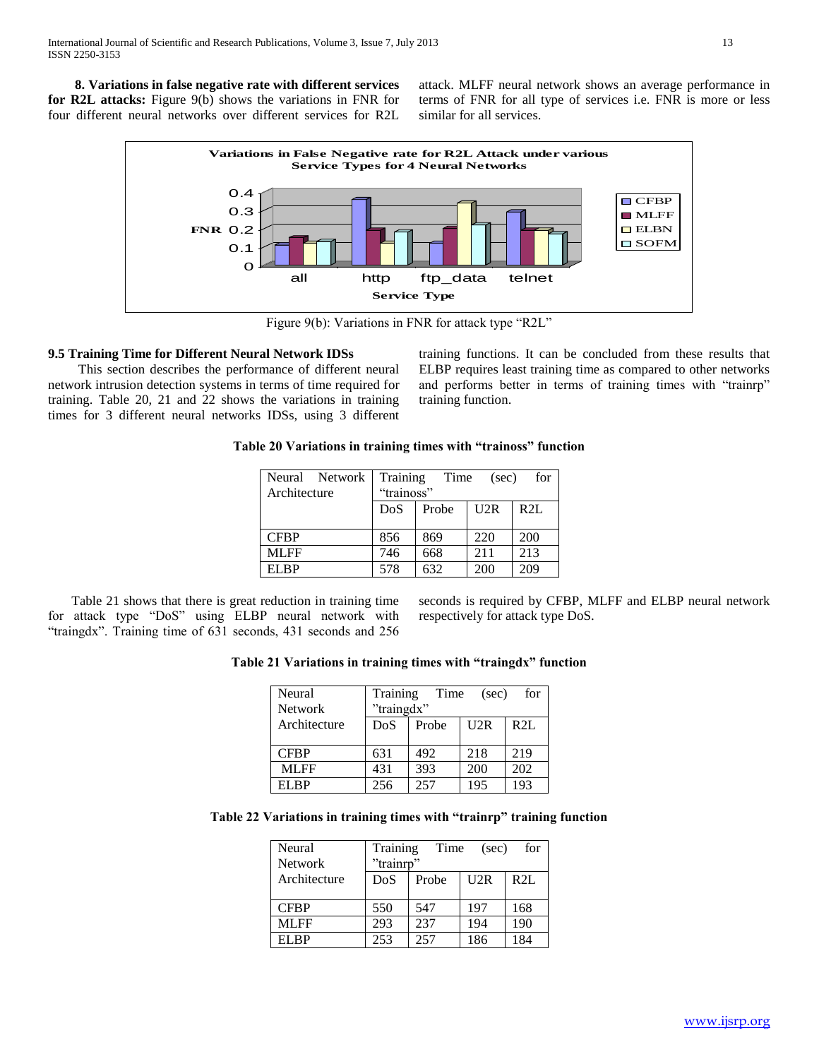**8. Variations in false negative rate with different services for R2L attacks:** Figure 9(b) shows the variations in FNR for four different neural networks over different services for R2L

attack. MLFF neural network shows an average performance in terms of FNR for all type of services i.e. FNR is more or less similar for all services.



Figure 9(b): Variations in FNR for attack type "R2L"

## **9.5 Training Time for Different Neural Network IDSs**

This section describes the performance of different neural network intrusion detection systems in terms of time required for training. Table 20, 21 and 22 shows the variations in training times for 3 different neural networks IDSs, using 3 different

training functions. It can be concluded from these results that ELBP requires least training time as compared to other networks and performs better in terms of training times with "trainrp" training function.

## **Table 20 Variations in training times with "trainoss" function**

| Neural Network<br>Architecture | Training Time<br>for<br>(sec)<br>"trainoss" |       |     |     |  |
|--------------------------------|---------------------------------------------|-------|-----|-----|--|
|                                | DoS                                         | Probe | U2R | R2L |  |
|                                |                                             |       |     |     |  |
| <b>CFBP</b>                    | 856                                         | 869   | 220 | 200 |  |
| MLFF                           | 746                                         | 668   | 211 | 213 |  |
| EL RP                          | 578                                         | 632   | 200 | 209 |  |

 Table 21 shows that there is great reduction in training time for attack type "DoS" using ELBP neural network with "traingdx". Training time of 631 seconds, 431 seconds and 256 seconds is required by CFBP, MLFF and ELBP neural network respectively for attack type DoS.

## **Table 21 Variations in training times with "traingdx" function**

| Neural<br><b>Network</b> | Training<br>"traingdx" | Time  | (sec) | for |
|--------------------------|------------------------|-------|-------|-----|
| Architecture             | DoS                    | Probe | U2R   | R2L |
| <b>CFBP</b>              | 631                    | 492   | 218   | 219 |
| MLFF                     | 431                    | 393   | 200   | 202 |
| EL RP                    | 256                    | 257   | 195   | 193 |

## **Table 22 Variations in training times with "trainrp" training function**

| Neural         | Training  | Time  | (sec) | for |
|----------------|-----------|-------|-------|-----|
| <b>Network</b> | "trainrp" |       |       |     |
| Architecture   | DoS       | Probe | U2R   | R2L |
|                |           |       |       |     |
| <b>CFBP</b>    | 550       | 547   | 197   | 168 |
| ML FF          | 293       | 237   | 194   | 190 |
| EI RP          | 253       | 257   | 186   | 184 |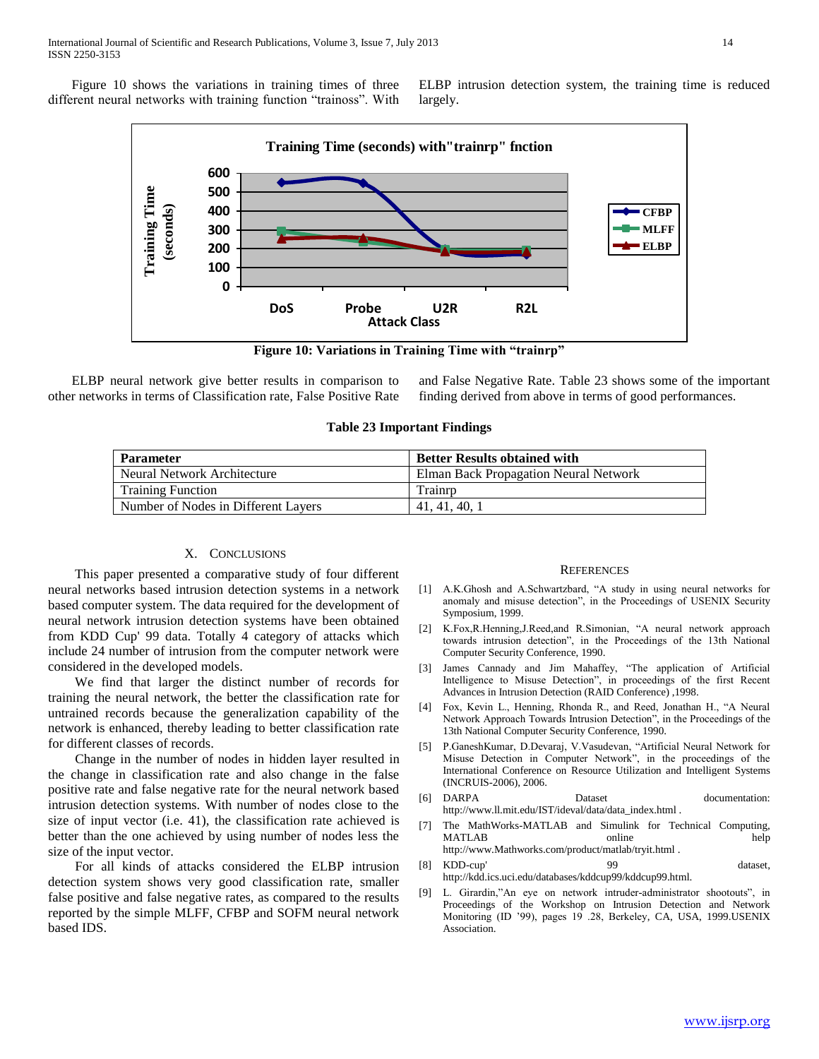Figure 10 shows the variations in training times of three different neural networks with training function "trainoss". With ELBP intrusion detection system, the training time is reduced largely.



**Figure 10: Variations in Training Time with "trainrp"**

 ELBP neural network give better results in comparison to other networks in terms of Classification rate, False Positive Rate

and False Negative Rate. Table 23 shows some of the important finding derived from above in terms of good performances.

| <b>Parameter</b>                    | <b>Better Results obtained with</b>          |
|-------------------------------------|----------------------------------------------|
| Neural Network Architecture         | <b>Elman Back Propagation Neural Network</b> |
| <b>Training Function</b>            | Trainrp                                      |
| Number of Nodes in Different Layers | 41, 41, 40, 1                                |

#### X. CONCLUSIONS

 This paper presented a comparative study of four different neural networks based intrusion detection systems in a network based computer system. The data required for the development of neural network intrusion detection systems have been obtained from KDD Cup' 99 data. Totally 4 category of attacks which include 24 number of intrusion from the computer network were considered in the developed models.

 We find that larger the distinct number of records for training the neural network, the better the classification rate for untrained records because the generalization capability of the network is enhanced, thereby leading to better classification rate for different classes of records.

 Change in the number of nodes in hidden layer resulted in the change in classification rate and also change in the false positive rate and false negative rate for the neural network based intrusion detection systems. With number of nodes close to the size of input vector (i.e. 41), the classification rate achieved is better than the one achieved by using number of nodes less the size of the input vector.

 For all kinds of attacks considered the ELBP intrusion detection system shows very good classification rate, smaller false positive and false negative rates, as compared to the results reported by the simple MLFF, CFBP and SOFM neural network based IDS.

#### **REFERENCES**

- [1] A.K.Ghosh and A.Schwartzbard, "A study in using neural networks for anomaly and misuse detection", in the Proceedings of USENIX Security Symposium, 1999.
- [2] K.Fox,R.Henning,J.Reed,and R.Simonian, "A neural network approach towards intrusion detection", in the Proceedings of the 13th National Computer Security Conference, 1990.
- [3] James Cannady and Jim Mahaffey, "The application of Artificial Intelligence to Misuse Detection", in proceedings of the first Recent Advances in Intrusion Detection (RAID Conference) ,1998.
- [4] Fox, Kevin L., Henning, Rhonda R., and Reed, Jonathan H., "A Neural Network Approach Towards Intrusion Detection", in the Proceedings of the 13th National Computer Security Conference, 1990.
- [5] P.GaneshKumar, D.Devaraj, V.Vasudevan, "Artificial Neural Network for Misuse Detection in Computer Network", in the proceedings of the International Conference on Resource Utilization and Intelligent Systems (INCRUIS-2006), 2006.
- [6] DARPA Dataset documentation: http://www.ll.mit.edu/IST/ideval/data/data\_index.html .
- [7] The MathWorks-MATLAB and Simulink for Technical Computing, MATLAB online help http://www.Mathworks.com/product/matlab/tryit.html .
- [8] KDD-cup' 99 dataset, http://kdd.ics.uci.edu/databases/kddcup99/kddcup99.html.
- [9] L. Girardin,"An eye on network intruder-administrator shootouts", in Proceedings of the Workshop on Intrusion Detection and Network Monitoring (ID '99), pages 19 .28, Berkeley, CA, USA, 1999.USENIX Association.